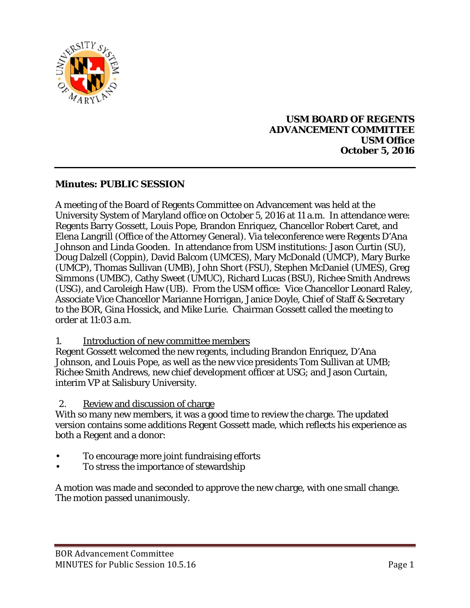

### **USM BOARD OF REGENTS ADVANCEMENT COMMITTEE USM Office October 5, 2016**

# **Minutes: PUBLIC SESSION**

A meeting of the Board of Regents Committee on Advancement was held at the University System of Maryland office on October 5, 2016 at 11 a.m. In attendance were: Regents Barry Gossett, Louis Pope, Brandon Enriquez, Chancellor Robert Caret, and Elena Langrill (Office of the Attorney General). Via teleconference were Regents D'Ana Johnson and Linda Gooden. In attendance from USM institutions: Jason Curtin (SU), Doug Dalzell (Coppin), David Balcom (UMCES), Mary McDonald (UMCP), Mary Burke (UMCP), Thomas Sullivan (UMB), John Short (FSU), Stephen McDaniel (UMES), Greg Simmons (UMBC), Cathy Sweet (UMUC), Richard Lucas (BSU), Richee Smith Andrews (USG), and Caroleigh Haw (UB). From the USM office: Vice Chancellor Leonard Raley, Associate Vice Chancellor Marianne Horrigan, Janice Doyle, Chief of Staff & Secretary to the BOR, Gina Hossick, and Mike Lurie. Chairman Gossett called the meeting to order at 11:03 a.m.

1. Introduction of new committee members

Regent Gossett welcomed the new regents, including Brandon Enriquez, D'Ana Johnson, and Louis Pope, as well as the new vice presidents Tom Sullivan at UMB; Richee Smith Andrews, new chief development officer at USG; and Jason Curtain, interim VP at Salisbury University.

2. Review and discussion of charge

With so many new members, it was a good time to review the charge. The updated version contains some additions Regent Gossett made, which reflects his experience as both a Regent and a donor:

- To encourage more joint fundraising efforts
- To stress the importance of stewardship

A motion was made and seconded to approve the new charge, with one small change. The motion passed unanimously.